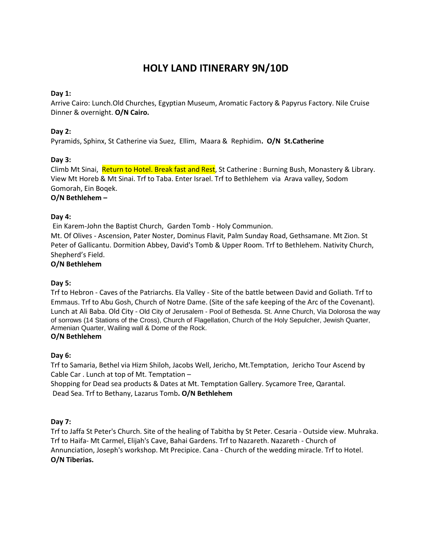# **HOLY LAND ITINERARY 9N/10D**

# **Day 1:**

Arrive Cairo: Lunch.Old Churches, Egyptian Museum, Aromatic Factory & Papyrus Factory. Nile Cruise Dinner & overnight. **O/N Cairo.** 

# **Day 2:**

Pyramids, Sphinx, St Catherine via Suez, Ellim, Maara & Rephidim**. O/N St.Catherine**

# **Day 3:**

Climb Mt Sinai, Return to Hotel. Break fast and Rest, St Catherine : Burning Bush, Monastery & Library. View Mt Horeb & Mt Sinai. Trf to Taba. Enter Israel. Trf to Bethlehem via Arava valley, Sodom Gomorah, Ein Boqek. **O/N Bethlehem –**

### **Day 4:**

Ein Karem-John the Baptist Church, Garden Tomb - Holy Communion.

Mt. Of Olives - Ascension, Pater Noster, Dominus Flavit, Palm Sunday Road, Gethsamane. Mt Zion. St Peter of Gallicantu. Dormition Abbey, David's Tomb & Upper Room. Trf to Bethlehem. Nativity Church, Shepherd's Field.

### **O/N Bethlehem**

### **Day 5:**

Trf to Hebron - Caves of the Patriarchs. Ela Valley - Site of the battle between David and Goliath. Trf to Emmaus. Trf to Abu Gosh, Church of Notre Dame. (Site of the safe keeping of the Arc of the Covenant). Lunch at Ali Baba. Old City - Old City of Jerusalem - Pool of Bethesda. St. Anne Church, Via Dolorosa the way of sorrows (14 Stations of the Cross), Church of Flagellation, Church of the Holy Sepulcher, Jewish Quarter, Armenian Quarter, Wailing wall & Dome of the Rock. **O/N Bethlehem** 

### **Day 6:**

Trf to Samaria, Bethel via Hizm Shiloh, Jacobs Well, Jericho, Mt.Temptation, Jericho Tour Ascend by Cable Car . Lunch at top of Mt. Temptation –

Shopping for Dead sea products & Dates at Mt. Temptation Gallery. Sycamore Tree, Qarantal. Dead Sea. Trf to Bethany, Lazarus Tomb**. O/N Bethlehem** 

### **Day 7:**

Trf to Jaffa St Peter's Church. Site of the healing of Tabitha by St Peter. Cesaria - Outside view. Muhraka. Trf to Haifa- Mt Carmel, Elijah's Cave, Bahai Gardens. Trf to Nazareth. Nazareth - Church of Annunciation, Joseph's workshop. Mt Precipice. Cana - Church of the wedding miracle. Trf to Hotel. **O/N Tiberias.**